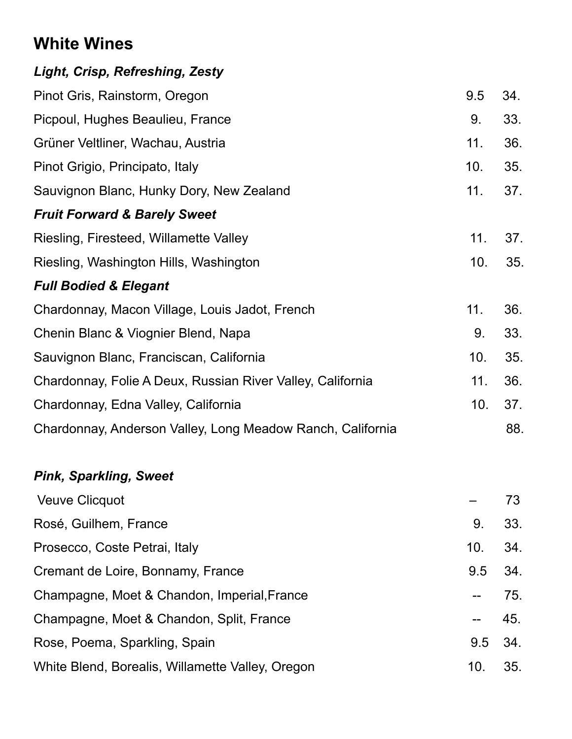# **White Wines**

| 9.5 | 34. |
|-----|-----|
| 9.  | 33. |
| 11. | 36. |
| 10. | 35. |
| 11. | 37. |
|     |     |
| 11. | 37. |
| 10. | 35. |
|     |     |
| 11. | 36. |
| 9.  | 33. |
| 10. | 35. |
| 11. | 36. |
| 10. | 37. |
|     | 88. |
|     |     |

#### *Pink, Sparkling, Sweet*

| <b>Veuve Clicquot</b>                            |         | 73  |
|--------------------------------------------------|---------|-----|
| Rosé, Guilhem, France                            | 9.      | 33. |
| Prosecco, Coste Petrai, Italy                    | 10.     | 34. |
| Cremant de Loire, Bonnamy, France                | 9.5 34. |     |
| Champagne, Moet & Chandon, Imperial, France      |         | 75. |
| Champagne, Moet & Chandon, Split, France         | $-45.$  |     |
| Rose, Poema, Sparkling, Spain                    | 9.5 34. |     |
| White Blend, Borealis, Willamette Valley, Oregon | 10.     | 35. |